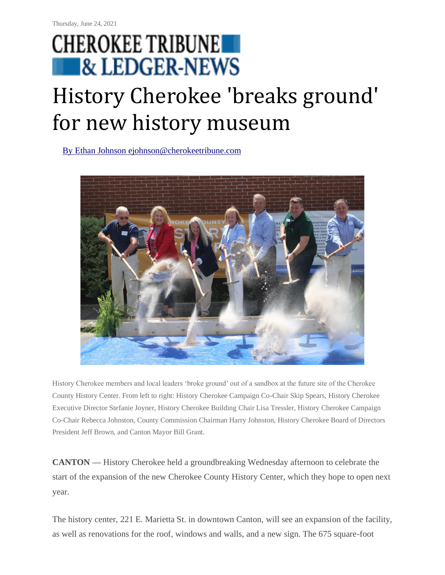## **CHEROKEE TRIBUNE REDGER-NEWS**

## History Cherokee 'breaks ground' for new history museum

[By Ethan Johnson ejohnson@cherokeetribune.com](https://www.tribuneledgernews.com/users/profile/ejohnson)



History Cherokee members and local leaders 'broke ground' out of a sandbox at the future site of the Cherokee County History Center. From left to right: History Cherokee Campaign Co-Chair Skip Spears, History Cherokee Executive Director Stefanie Joyner, History Cherokee Building Chair Lisa Tressler, History Cherokee Campaign Co-Chair Rebecca Johnston, County Commission Chairman Harry Johnston, History Cherokee Board of Directors President Jeff Brown, and Canton Mayor Bill Grant.

**CANTON —** History Cherokee held a groundbreaking Wednesday afternoon to celebrate the start of the expansion of the new Cherokee County History Center, which they hope to open next year.

The history center, 221 E. Marietta St. in downtown Canton, will see an expansion of the facility, as well as renovations for the roof, windows and walls, and a new sign. The 675 square-foot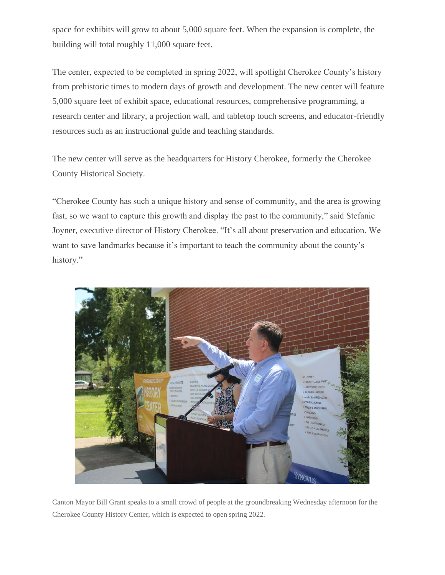space for exhibits will grow to about 5,000 square feet. When the expansion is complete, the building will total roughly 11,000 square feet.

The center, expected to be completed in spring 2022, will spotlight Cherokee County's history from prehistoric times to modern days of growth and development. The new center will feature 5,000 square feet of exhibit space, educational resources, comprehensive programming, a research center and library, a projection wall, and tabletop touch screens, and educator-friendly resources such as an instructional guide and teaching standards.

The new center will serve as the headquarters for History Cherokee, formerly the Cherokee County Historical Society.

"Cherokee County has such a unique history and sense of community, and the area is growing fast, so we want to capture this growth and display the past to the community," said Stefanie Joyner, executive director of History Cherokee. "It's all about preservation and education. We want to save landmarks because it's important to teach the community about the county's history."



Canton Mayor Bill Grant speaks to a small crowd of people at the groundbreaking Wednesday afternoon for the Cherokee County History Center, which is expected to open spring 2022.